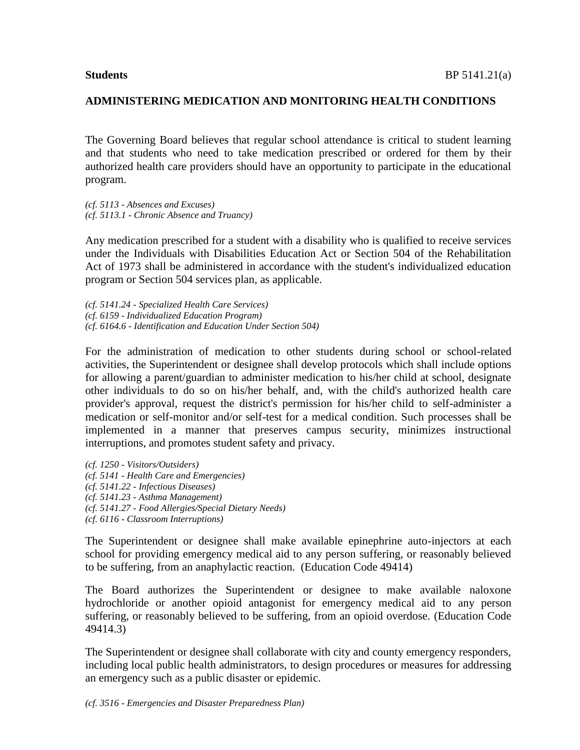The Governing Board believes that regular school attendance is critical to student learning and that students who need to take medication prescribed or ordered for them by their authorized health care providers should have an opportunity to participate in the educational program.

*(cf. 5113 - Absences and Excuses) (cf. 5113.1 - Chronic Absence and Truancy)*

Any medication prescribed for a student with a disability who is qualified to receive services under the Individuals with Disabilities Education Act or Section 504 of the Rehabilitation Act of 1973 shall be administered in accordance with the student's individualized education program or Section 504 services plan, as applicable.

*(cf. 5141.24 - Specialized Health Care Services) (cf. 6159 - Individualized Education Program) (cf. 6164.6 - Identification and Education Under Section 504)*

For the administration of medication to other students during school or school-related activities, the Superintendent or designee shall develop protocols which shall include options for allowing a parent/guardian to administer medication to his/her child at school, designate other individuals to do so on his/her behalf, and, with the child's authorized health care provider's approval, request the district's permission for his/her child to self-administer a medication or self-monitor and/or self-test for a medical condition. Such processes shall be implemented in a manner that preserves campus security, minimizes instructional interruptions, and promotes student safety and privacy.

*(cf. 1250 - Visitors/Outsiders) (cf. 5141 - Health Care and Emergencies) (cf. 5141.22 - Infectious Diseases) (cf. 5141.23 - Asthma Management) (cf. 5141.27 - Food Allergies/Special Dietary Needs) (cf. 6116 - Classroom Interruptions)*

The Superintendent or designee shall make available epinephrine auto-injectors at each school for providing emergency medical aid to any person suffering, or reasonably believed to be suffering, from an anaphylactic reaction. (Education Code 49414)

The Board authorizes the Superintendent or designee to make available naloxone hydrochloride or another opioid antagonist for emergency medical aid to any person suffering, or reasonably believed to be suffering, from an opioid overdose. (Education Code 49414.3)

The Superintendent or designee shall collaborate with city and county emergency responders, including local public health administrators, to design procedures or measures for addressing an emergency such as a public disaster or epidemic.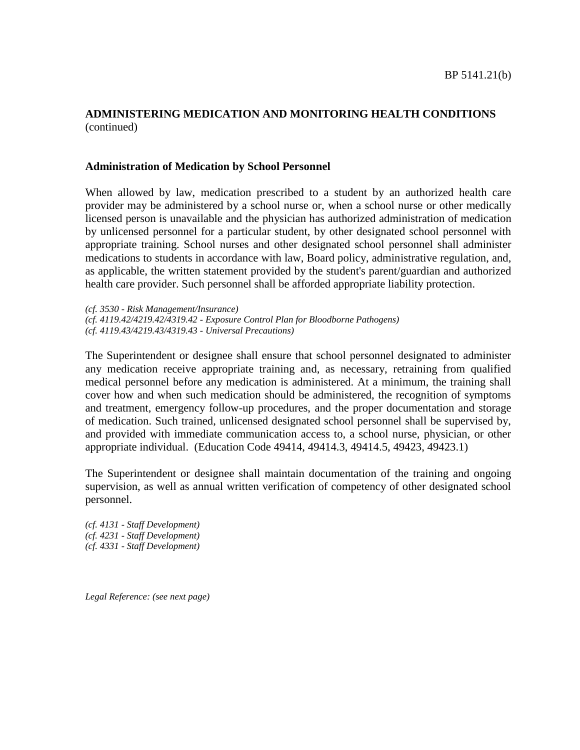#### **Administration of Medication by School Personnel**

When allowed by law, medication prescribed to a student by an authorized health care provider may be administered by a school nurse or, when a school nurse or other medically licensed person is unavailable and the physician has authorized administration of medication by unlicensed personnel for a particular student, by other designated school personnel with appropriate training. School nurses and other designated school personnel shall administer medications to students in accordance with law, Board policy, administrative regulation, and, as applicable, the written statement provided by the student's parent/guardian and authorized health care provider. Such personnel shall be afforded appropriate liability protection.

*(cf. 3530 - Risk Management/Insurance) (cf. 4119.42/4219.42/4319.42 - Exposure Control Plan for Bloodborne Pathogens) (cf. 4119.43/4219.43/4319.43 - Universal Precautions)*

The Superintendent or designee shall ensure that school personnel designated to administer any medication receive appropriate training and, as necessary, retraining from qualified medical personnel before any medication is administered. At a minimum, the training shall cover how and when such medication should be administered, the recognition of symptoms and treatment, emergency follow-up procedures, and the proper documentation and storage of medication. Such trained, unlicensed designated school personnel shall be supervised by, and provided with immediate communication access to, a school nurse, physician, or other appropriate individual. (Education Code 49414, 49414.3, 49414.5, 49423, 49423.1)

The Superintendent or designee shall maintain documentation of the training and ongoing supervision, as well as annual written verification of competency of other designated school personnel.

*(cf. 4131 - Staff Development) (cf. 4231 - Staff Development) (cf. 4331 - Staff Development)*

*Legal Reference: (see next page)*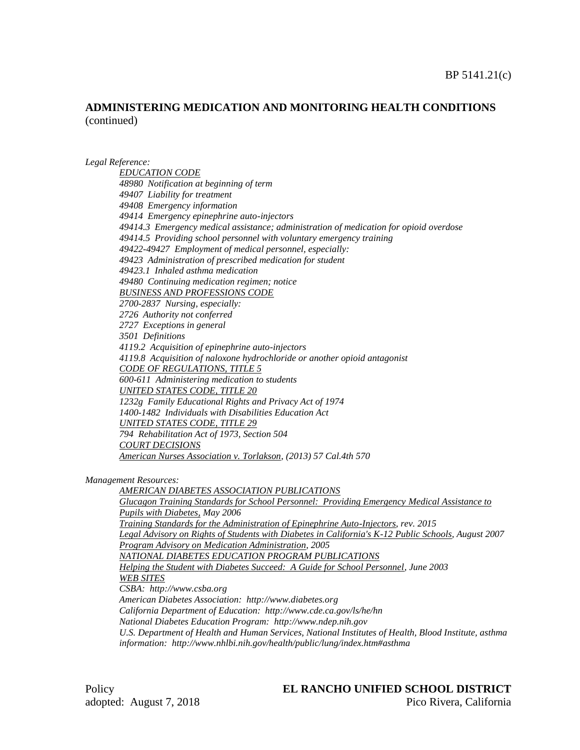#### *Legal Reference:*

*EDUCATION CODE 48980 Notification at beginning of term 49407 Liability for treatment 49408 Emergency information 49414 Emergency epinephrine auto-injectors 49414.3 Emergency medical assistance; administration of medication for opioid overdose 49414.5 Providing school personnel with voluntary emergency training 49422-49427 Employment of medical personnel, especially: 49423 Administration of prescribed medication for student 49423.1 Inhaled asthma medication 49480 Continuing medication regimen; notice BUSINESS AND PROFESSIONS CODE 2700-2837 Nursing, especially: 2726 Authority not conferred 2727 Exceptions in general 3501 Definitions 4119.2 Acquisition of epinephrine auto-injectors 4119.8 Acquisition of naloxone hydrochloride or another opioid antagonist CODE OF REGULATIONS, TITLE 5 600-611 Administering medication to students UNITED STATES CODE, TITLE 20 1232g Family Educational Rights and Privacy Act of 1974 1400-1482 Individuals with Disabilities Education Act UNITED STATES CODE, TITLE 29 794 Rehabilitation Act of 1973, Section 504 COURT DECISIONS American Nurses Association v. Torlakson, (2013) 57 Cal.4th 570*

*Management Resources:*

*AMERICAN DIABETES ASSOCIATION PUBLICATIONS Glucagon Training Standards for School Personnel: Providing Emergency Medical Assistance to Pupils with Diabetes, May 2006 Training Standards for the Administration of Epinephrine Auto-Injectors, rev. 2015 Legal Advisory on Rights of Students with Diabetes in California's K-12 Public Schools, August 2007 Program Advisory on Medication Administration, 2005 NATIONAL DIABETES EDUCATION PROGRAM PUBLICATIONS Helping the Student with Diabetes Succeed: A Guide for School Personnel, June 2003 WEB SITES CSBA: http://www.csba.org American Diabetes Association: http://www.diabetes.org California Department of Education: http://www.cde.ca.gov/ls/he/hn National Diabetes Education Program: http://www.ndep.nih.gov U.S. Department of Health and Human Services, National Institutes of Health, Blood Institute, asthma information: http://www.nhlbi.nih.gov/health/public/lung/index.htm#asthma*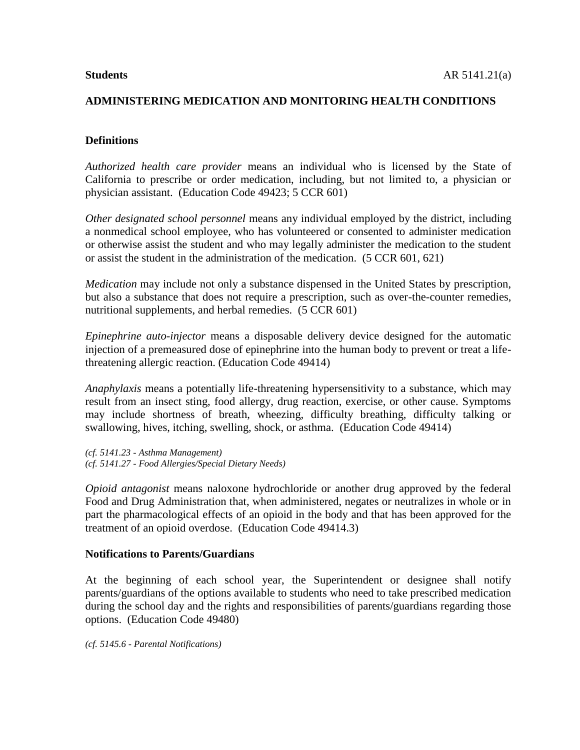#### **Definitions**

*Authorized health care provider* means an individual who is licensed by the State of California to prescribe or order medication, including, but not limited to, a physician or physician assistant. (Education Code 49423; 5 CCR 601)

*Other designated school personnel* means any individual employed by the district, including a nonmedical school employee, who has volunteered or consented to administer medication or otherwise assist the student and who may legally administer the medication to the student or assist the student in the administration of the medication. (5 CCR 601, 621)

*Medication* may include not only a substance dispensed in the United States by prescription, but also a substance that does not require a prescription, such as over-the-counter remedies, nutritional supplements, and herbal remedies. (5 CCR 601)

*Epinephrine auto-injector* means a disposable delivery device designed for the automatic injection of a premeasured dose of epinephrine into the human body to prevent or treat a lifethreatening allergic reaction. (Education Code 49414)

*Anaphylaxis* means a potentially life-threatening hypersensitivity to a substance, which may result from an insect sting, food allergy, drug reaction, exercise, or other cause. Symptoms may include shortness of breath, wheezing, difficulty breathing, difficulty talking or swallowing, hives, itching, swelling, shock, or asthma. (Education Code 49414)

*(cf. 5141.23 - Asthma Management) (cf. 5141.27 - Food Allergies/Special Dietary Needs)*

*Opioid antagonist* means naloxone hydrochloride or another drug approved by the federal Food and Drug Administration that, when administered, negates or neutralizes in whole or in part the pharmacological effects of an opioid in the body and that has been approved for the treatment of an opioid overdose. (Education Code 49414.3)

#### **Notifications to Parents/Guardians**

At the beginning of each school year, the Superintendent or designee shall notify parents/guardians of the options available to students who need to take prescribed medication during the school day and the rights and responsibilities of parents/guardians regarding those options. (Education Code 49480)

*(cf. 5145.6 - Parental Notifications)*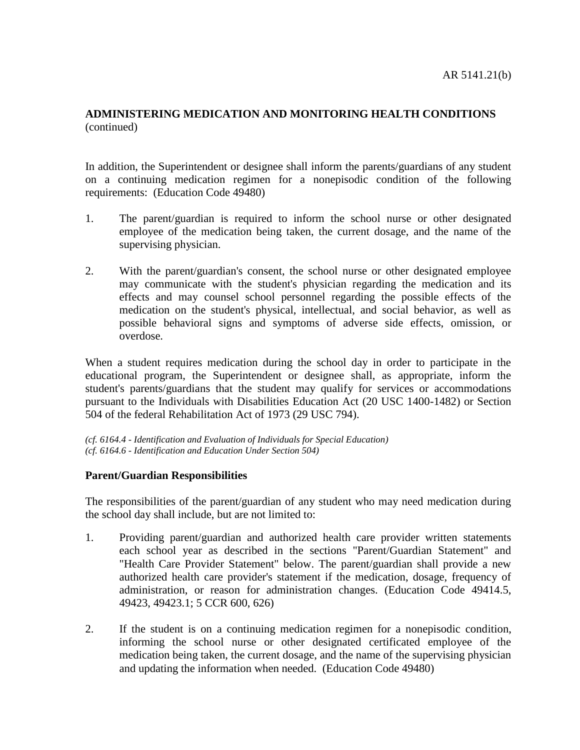In addition, the Superintendent or designee shall inform the parents/guardians of any student on a continuing medication regimen for a nonepisodic condition of the following requirements: (Education Code 49480)

- 1. The parent/guardian is required to inform the school nurse or other designated employee of the medication being taken, the current dosage, and the name of the supervising physician.
- 2. With the parent/guardian's consent, the school nurse or other designated employee may communicate with the student's physician regarding the medication and its effects and may counsel school personnel regarding the possible effects of the medication on the student's physical, intellectual, and social behavior, as well as possible behavioral signs and symptoms of adverse side effects, omission, or overdose.

When a student requires medication during the school day in order to participate in the educational program, the Superintendent or designee shall, as appropriate, inform the student's parents/guardians that the student may qualify for services or accommodations pursuant to the Individuals with Disabilities Education Act (20 USC 1400-1482) or Section 504 of the federal Rehabilitation Act of 1973 (29 USC 794).

*(cf. 6164.4 - Identification and Evaluation of Individuals for Special Education) (cf. 6164.6 - Identification and Education Under Section 504)*

### **Parent/Guardian Responsibilities**

The responsibilities of the parent/guardian of any student who may need medication during the school day shall include, but are not limited to:

- 1. Providing parent/guardian and authorized health care provider written statements each school year as described in the sections "Parent/Guardian Statement" and "Health Care Provider Statement" below. The parent/guardian shall provide a new authorized health care provider's statement if the medication, dosage, frequency of administration, or reason for administration changes. (Education Code 49414.5, 49423, 49423.1; 5 CCR 600, 626)
- 2. If the student is on a continuing medication regimen for a nonepisodic condition, informing the school nurse or other designated certificated employee of the medication being taken, the current dosage, and the name of the supervising physician and updating the information when needed. (Education Code 49480)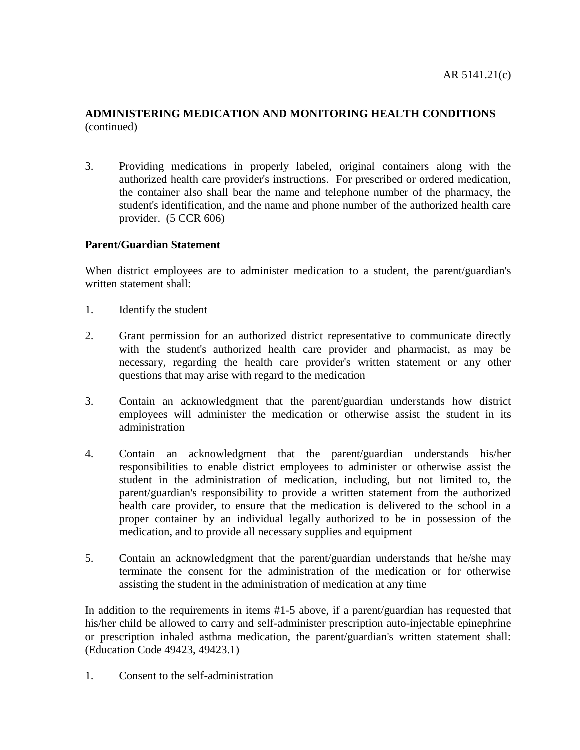3. Providing medications in properly labeled, original containers along with the authorized health care provider's instructions. For prescribed or ordered medication, the container also shall bear the name and telephone number of the pharmacy, the student's identification, and the name and phone number of the authorized health care provider. (5 CCR 606)

# **Parent/Guardian Statement**

When district employees are to administer medication to a student, the parent/guardian's written statement shall:

- 1. Identify the student
- 2. Grant permission for an authorized district representative to communicate directly with the student's authorized health care provider and pharmacist, as may be necessary, regarding the health care provider's written statement or any other questions that may arise with regard to the medication
- 3. Contain an acknowledgment that the parent/guardian understands how district employees will administer the medication or otherwise assist the student in its administration
- 4. Contain an acknowledgment that the parent/guardian understands his/her responsibilities to enable district employees to administer or otherwise assist the student in the administration of medication, including, but not limited to, the parent/guardian's responsibility to provide a written statement from the authorized health care provider, to ensure that the medication is delivered to the school in a proper container by an individual legally authorized to be in possession of the medication, and to provide all necessary supplies and equipment
- 5. Contain an acknowledgment that the parent/guardian understands that he/she may terminate the consent for the administration of the medication or for otherwise assisting the student in the administration of medication at any time

In addition to the requirements in items #1-5 above, if a parent/guardian has requested that his/her child be allowed to carry and self-administer prescription auto-injectable epinephrine or prescription inhaled asthma medication, the parent/guardian's written statement shall: (Education Code 49423, 49423.1)

1. Consent to the self-administration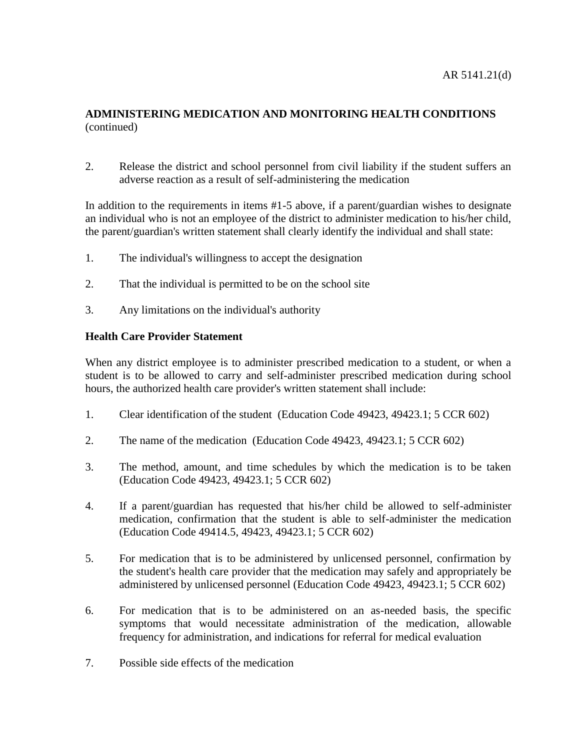2. Release the district and school personnel from civil liability if the student suffers an adverse reaction as a result of self-administering the medication

In addition to the requirements in items #1-5 above, if a parent/guardian wishes to designate an individual who is not an employee of the district to administer medication to his/her child, the parent/guardian's written statement shall clearly identify the individual and shall state:

- 1. The individual's willingness to accept the designation
- 2. That the individual is permitted to be on the school site
- 3. Any limitations on the individual's authority

### **Health Care Provider Statement**

When any district employee is to administer prescribed medication to a student, or when a student is to be allowed to carry and self-administer prescribed medication during school hours, the authorized health care provider's written statement shall include:

- 1. Clear identification of the student (Education Code 49423, 49423.1; 5 CCR 602)
- 2. The name of the medication (Education Code 49423, 49423.1; 5 CCR 602)
- 3. The method, amount, and time schedules by which the medication is to be taken (Education Code 49423, 49423.1; 5 CCR 602)
- 4. If a parent/guardian has requested that his/her child be allowed to self-administer medication, confirmation that the student is able to self-administer the medication (Education Code 49414.5, 49423, 49423.1; 5 CCR 602)
- 5. For medication that is to be administered by unlicensed personnel, confirmation by the student's health care provider that the medication may safely and appropriately be administered by unlicensed personnel (Education Code 49423, 49423.1; 5 CCR 602)
- 6. For medication that is to be administered on an as-needed basis, the specific symptoms that would necessitate administration of the medication, allowable frequency for administration, and indications for referral for medical evaluation
- 7. Possible side effects of the medication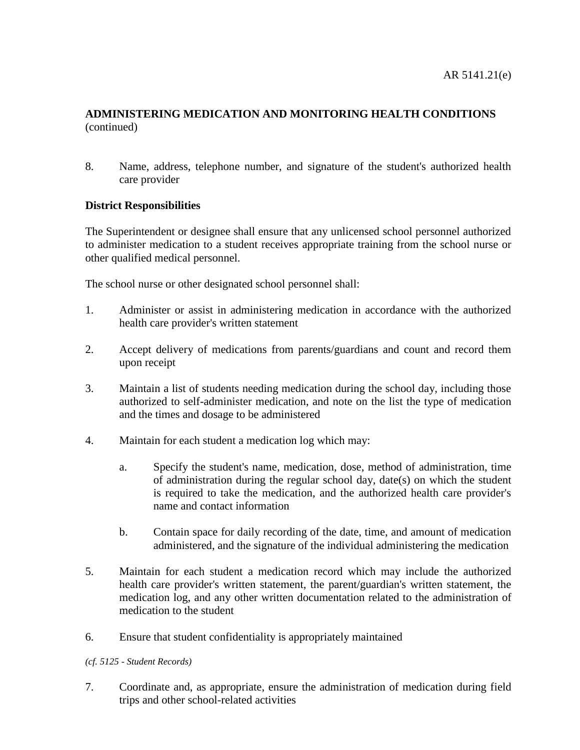8. Name, address, telephone number, and signature of the student's authorized health care provider

# **District Responsibilities**

The Superintendent or designee shall ensure that any unlicensed school personnel authorized to administer medication to a student receives appropriate training from the school nurse or other qualified medical personnel.

The school nurse or other designated school personnel shall:

- 1. Administer or assist in administering medication in accordance with the authorized health care provider's written statement
- 2. Accept delivery of medications from parents/guardians and count and record them upon receipt
- 3. Maintain a list of students needing medication during the school day, including those authorized to self-administer medication, and note on the list the type of medication and the times and dosage to be administered
- 4. Maintain for each student a medication log which may:
	- a. Specify the student's name, medication, dose, method of administration, time of administration during the regular school day, date(s) on which the student is required to take the medication, and the authorized health care provider's name and contact information
	- b. Contain space for daily recording of the date, time, and amount of medication administered, and the signature of the individual administering the medication
- 5. Maintain for each student a medication record which may include the authorized health care provider's written statement, the parent/guardian's written statement, the medication log, and any other written documentation related to the administration of medication to the student
- 6. Ensure that student confidentiality is appropriately maintained

*(cf. 5125 - Student Records)*

7. Coordinate and, as appropriate, ensure the administration of medication during field trips and other school-related activities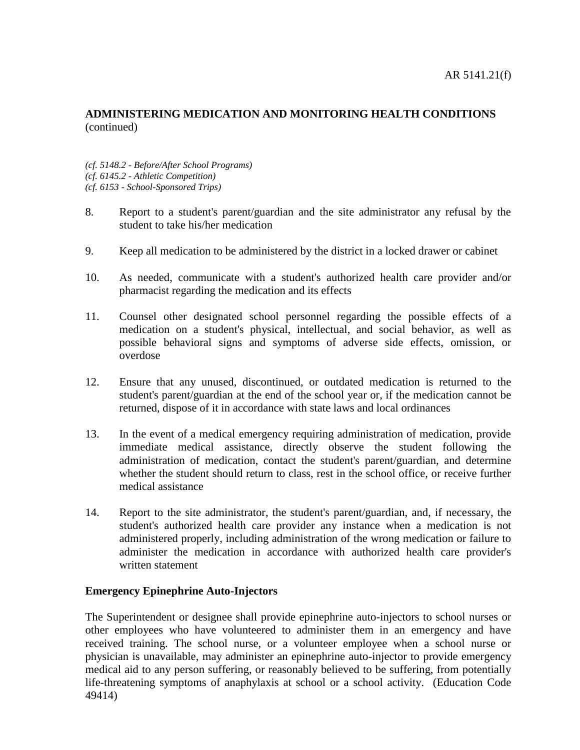*(cf. 5148.2 - Before/After School Programs) (cf. 6145.2 - Athletic Competition) (cf. 6153 - School-Sponsored Trips)*

- 8. Report to a student's parent/guardian and the site administrator any refusal by the student to take his/her medication
- 9. Keep all medication to be administered by the district in a locked drawer or cabinet
- 10. As needed, communicate with a student's authorized health care provider and/or pharmacist regarding the medication and its effects
- 11. Counsel other designated school personnel regarding the possible effects of a medication on a student's physical, intellectual, and social behavior, as well as possible behavioral signs and symptoms of adverse side effects, omission, or overdose
- 12. Ensure that any unused, discontinued, or outdated medication is returned to the student's parent/guardian at the end of the school year or, if the medication cannot be returned, dispose of it in accordance with state laws and local ordinances
- 13. In the event of a medical emergency requiring administration of medication, provide immediate medical assistance, directly observe the student following the administration of medication, contact the student's parent/guardian, and determine whether the student should return to class, rest in the school office, or receive further medical assistance
- 14. Report to the site administrator, the student's parent/guardian, and, if necessary, the student's authorized health care provider any instance when a medication is not administered properly, including administration of the wrong medication or failure to administer the medication in accordance with authorized health care provider's written statement

### **Emergency Epinephrine Auto-Injectors**

The Superintendent or designee shall provide epinephrine auto-injectors to school nurses or other employees who have volunteered to administer them in an emergency and have received training. The school nurse, or a volunteer employee when a school nurse or physician is unavailable, may administer an epinephrine auto-injector to provide emergency medical aid to any person suffering, or reasonably believed to be suffering, from potentially life-threatening symptoms of anaphylaxis at school or a school activity. (Education Code 49414)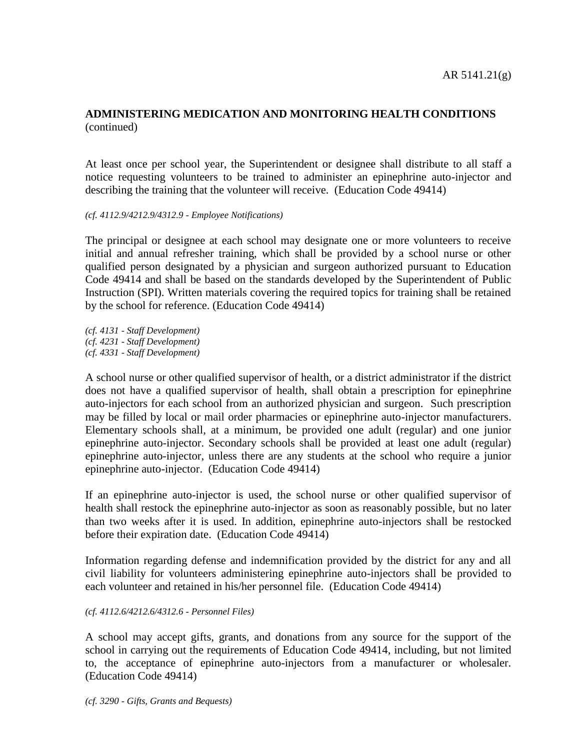At least once per school year, the Superintendent or designee shall distribute to all staff a notice requesting volunteers to be trained to administer an epinephrine auto-injector and describing the training that the volunteer will receive. (Education Code 49414)

*(cf. 4112.9/4212.9/4312.9 - Employee Notifications)*

The principal or designee at each school may designate one or more volunteers to receive initial and annual refresher training, which shall be provided by a school nurse or other qualified person designated by a physician and surgeon authorized pursuant to Education Code 49414 and shall be based on the standards developed by the Superintendent of Public Instruction (SPI). Written materials covering the required topics for training shall be retained by the school for reference. (Education Code 49414)

*(cf. 4131 - Staff Development) (cf. 4231 - Staff Development) (cf. 4331 - Staff Development)*

A school nurse or other qualified supervisor of health, or a district administrator if the district does not have a qualified supervisor of health, shall obtain a prescription for epinephrine auto-injectors for each school from an authorized physician and surgeon. Such prescription may be filled by local or mail order pharmacies or epinephrine auto-injector manufacturers. Elementary schools shall, at a minimum, be provided one adult (regular) and one junior epinephrine auto-injector. Secondary schools shall be provided at least one adult (regular) epinephrine auto-injector, unless there are any students at the school who require a junior epinephrine auto-injector. (Education Code 49414)

If an epinephrine auto-injector is used, the school nurse or other qualified supervisor of health shall restock the epinephrine auto-injector as soon as reasonably possible, but no later than two weeks after it is used. In addition, epinephrine auto-injectors shall be restocked before their expiration date. (Education Code 49414)

Information regarding defense and indemnification provided by the district for any and all civil liability for volunteers administering epinephrine auto-injectors shall be provided to each volunteer and retained in his/her personnel file. (Education Code 49414)

#### *(cf. 4112.6/4212.6/4312.6 - Personnel Files)*

A school may accept gifts, grants, and donations from any source for the support of the school in carrying out the requirements of Education Code 49414, including, but not limited to, the acceptance of epinephrine auto-injectors from a manufacturer or wholesaler. (Education Code 49414)